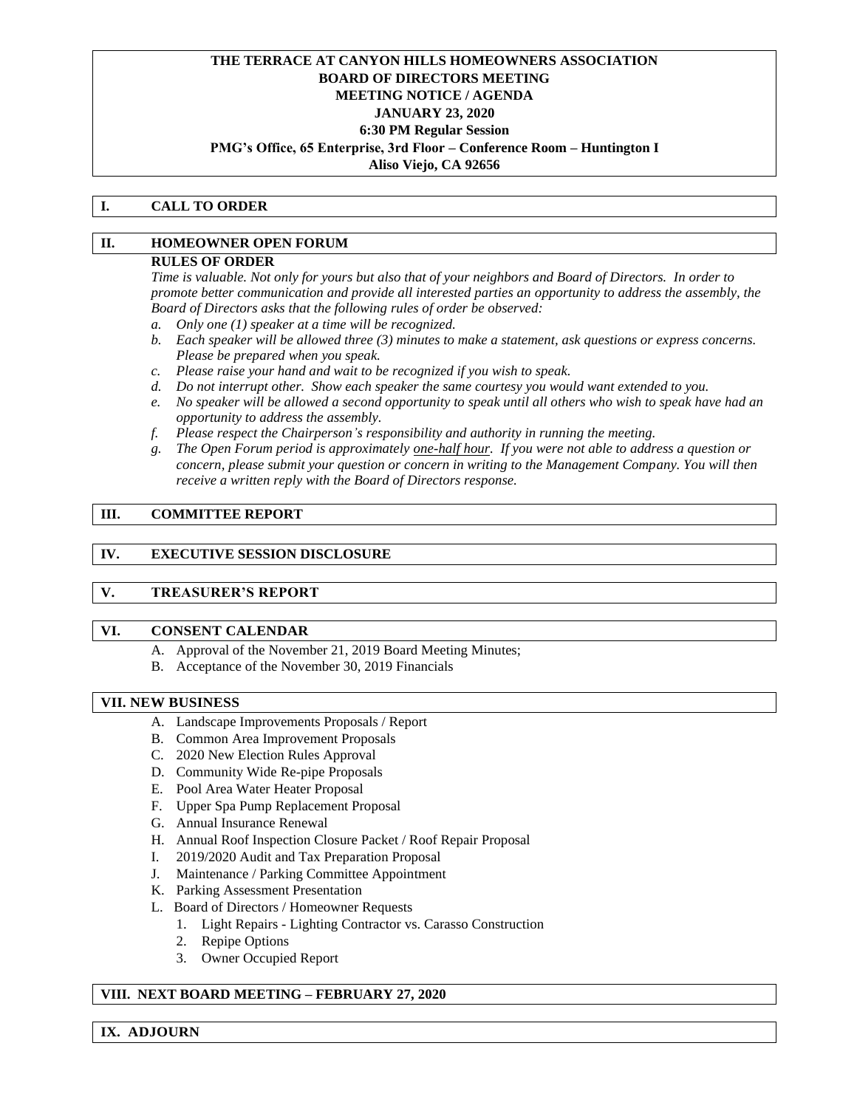## **THE TERRACE AT CANYON HILLS HOMEOWNERS ASSOCIATION BOARD OF DIRECTORS MEETING MEETING NOTICE / AGENDA JANUARY 23, 2020 6:30 PM Regular Session PMG's Office, 65 Enterprise, 3rd Floor – Conference Room – Huntington I Aliso Viejo, CA 92656**

#### **I. CALL TO ORDER**

### **II. HOMEOWNER OPEN FORUM**

#### **RULES OF ORDER**

*Time is valuable. Not only for yours but also that of your neighbors and Board of Directors. In order to promote better communication and provide all interested parties an opportunity to address the assembly, the Board of Directors asks that the following rules of order be observed:*

- *a. Only one (1) speaker at a time will be recognized.*
- *b. Each speaker will be allowed three (3) minutes to make a statement, ask questions or express concerns. Please be prepared when you speak.*
- *c. Please raise your hand and wait to be recognized if you wish to speak.*
- *d. Do not interrupt other. Show each speaker the same courtesy you would want extended to you.*
- *e. No speaker will be allowed a second opportunity to speak until all others who wish to speak have had an opportunity to address the assembly.*
- *f. Please respect the Chairperson's responsibility and authority in running the meeting.*
- *g. The Open Forum period is approximately one-half hour. If you were not able to address a question or concern, please submit your question or concern in writing to the Management Company. You will then receive a written reply with the Board of Directors response.*

#### **III. COMMITTEE REPORT**

### **IV. EXECUTIVE SESSION DISCLOSURE**

# **V. TREASURER'S REPORT**

#### **VI. CONSENT CALENDAR**

- A. Approval of the November 21, 2019 Board Meeting Minutes;
- B. Acceptance of the November 30, 2019 Financials

#### **VII. NEW BUSINESS**

- A. Landscape Improvements Proposals / Report
- B. Common Area Improvement Proposals
- C. 2020 New Election Rules Approval
- D. Community Wide Re-pipe Proposals
- E. Pool Area Water Heater Proposal
- F. Upper Spa Pump Replacement Proposal
- G. Annual Insurance Renewal
- H. Annual Roof Inspection Closure Packet / Roof Repair Proposal
- I. 2019/2020 Audit and Tax Preparation Proposal
- J. Maintenance / Parking Committee Appointment
- K. Parking Assessment Presentation
- L. Board of Directors / Homeowner Requests
	- 1. Light Repairs Lighting Contractor vs. Carasso Construction
	- 2. Repipe Options
	- 3. Owner Occupied Report

### **VIII. NEXT BOARD MEETING – FEBRUARY 27, 2020**

**IX. ADJOURN**